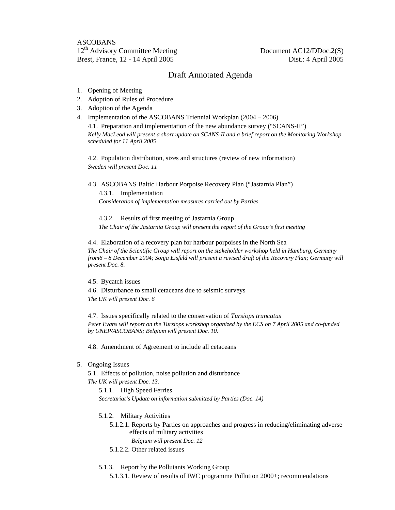## Draft Annotated Agenda

- 1. Opening of Meeting
- 2. Adoption of Rules of Procedure
- 3. Adoption of the Agenda
- 4. Implementation of the ASCOBANS Triennial Workplan (2004 2006)

4.1. Preparation and implementation of the new abundance survey ("SCANS-II") *Kelly MacLeod will present a short update on SCANS-II and a brief report on the Monitoring Workshop scheduled for 11 April 2005* 

4.2. Population distribution, sizes and structures (review of new information) *Sweden will present Doc. 11* 

4.3. ASCOBANS Baltic Harbour Porpoise Recovery Plan ("Jastarnia Plan") 4.3.1. Implementation *Consideration of implementation measures carried out by Parties* 

4.3.2. Results of first meeting of Jastarnia Group *The Chair of the Jastarnia Group will present the report of the Group's first meeting* 

4.4. Elaboration of a recovery plan for harbour porpoises in the North Sea *The Chair of the Scientific Group will report on the stakeholder workshop held in Hamburg, Germany from6 – 8 December 2004; Sonja Eisfeld will present a revised draft of the Recovery Plan; Germany will present Doc. 8.* 

4.5. Bycatch issues

4.6. Disturbance to small cetaceans due to seismic surveys *The UK will present Doc. 6* 

4.7. Issues specifically related to the conservation of *Tursiops truncatus Peter Evans will report on the Tursiops workshop organized by the ECS on 7 April 2005 and co-funded by UNEP/ASCOBANS; Belgium will present Doc. 10.* 

4.8. Amendment of Agreement to include all cetaceans

5. Ongoing Issues

5.1. Effects of pollution, noise pollution and disturbance *The UK will present Doc. 13.* 

5.1.1. High Speed Ferries *Secretariat's Update on information submitted by Parties (Doc. 14)* 

- 5.1.2. Military Activities
	- 5.1.2.1. Reports by Parties on approaches and progress in reducing/eliminating adverse effects of military activities *Belgium will present Doc. 12*
	- 5.1.2.2. Other related issues

## 5.1.3. Report by the Pollutants Working Group

5.1.3.1. Review of results of IWC programme Pollution 2000+; recommendations